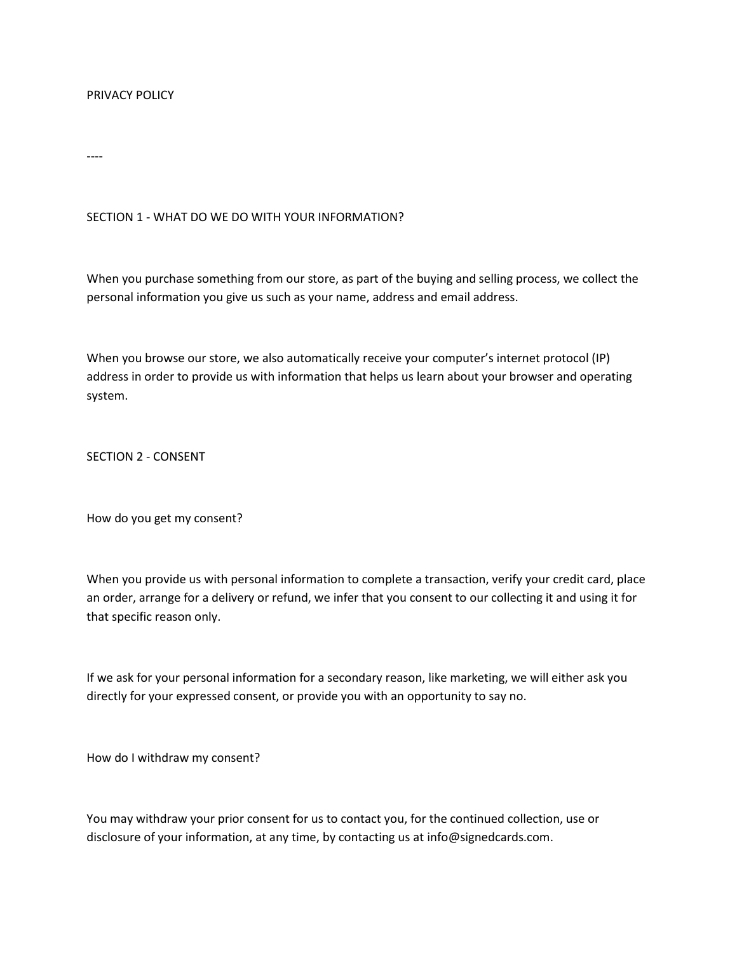### PRIVACY POLICY

----

# SECTION 1 - WHAT DO WE DO WITH YOUR INFORMATION?

When you purchase something from our store, as part of the buying and selling process, we collect the personal information you give us such as your name, address and email address.

When you browse our store, we also automatically receive your computer's internet protocol (IP) address in order to provide us with information that helps us learn about your browser and operating system.

SECTION 2 - CONSENT

How do you get my consent?

When you provide us with personal information to complete a transaction, verify your credit card, place an order, arrange for a delivery or refund, we infer that you consent to our collecting it and using it for that specific reason only.

If we ask for your personal information for a secondary reason, like marketing, we will either ask you directly for your expressed consent, or provide you with an opportunity to say no.

How do I withdraw my consent?

You may withdraw your prior consent for us to contact you, for the continued collection, use or disclosure of your information, at any time, by contacting us at info@signedcards.com.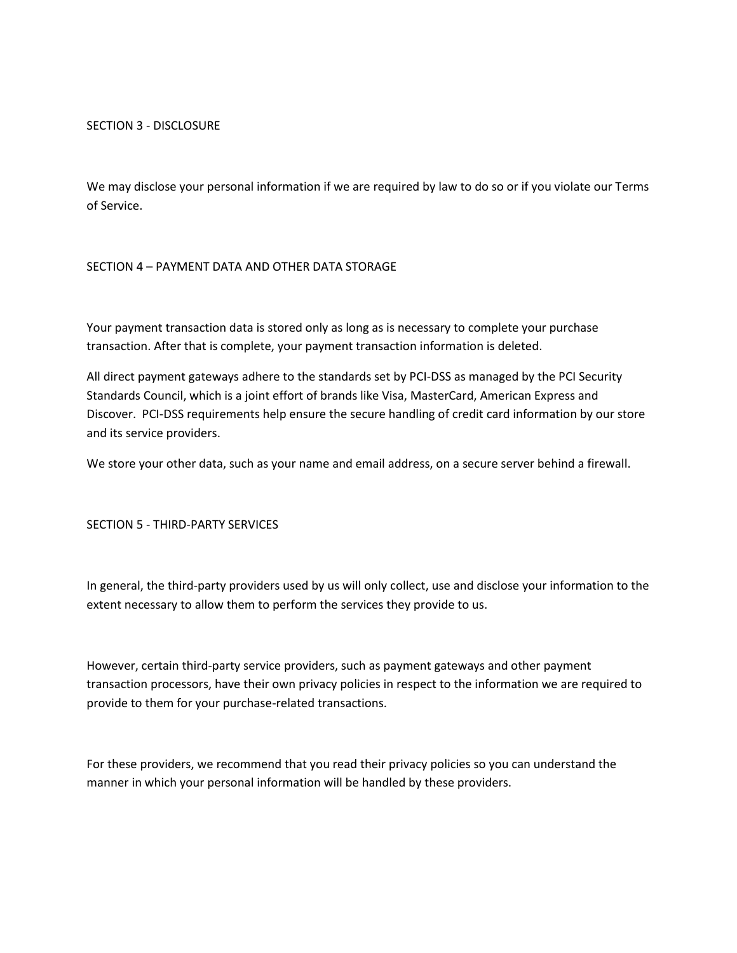SECTION 3 - DISCLOSURE

We may disclose your personal information if we are required by law to do so or if you violate our Terms of Service.

### SECTION 4 – PAYMENT DATA AND OTHER DATA STORAGE

Your payment transaction data is stored only as long as is necessary to complete your purchase transaction. After that is complete, your payment transaction information is deleted.

All direct payment gateways adhere to the standards set by PCI-DSS as managed by the PCI Security Standards Council, which is a joint effort of brands like Visa, MasterCard, American Express and Discover. PCI-DSS requirements help ensure the secure handling of credit card information by our store and its service providers.

We store your other data, such as your name and email address, on a secure server behind a firewall.

#### SECTION 5 - THIRD-PARTY SERVICES

In general, the third-party providers used by us will only collect, use and disclose your information to the extent necessary to allow them to perform the services they provide to us.

However, certain third-party service providers, such as payment gateways and other payment transaction processors, have their own privacy policies in respect to the information we are required to provide to them for your purchase-related transactions.

For these providers, we recommend that you read their privacy policies so you can understand the manner in which your personal information will be handled by these providers.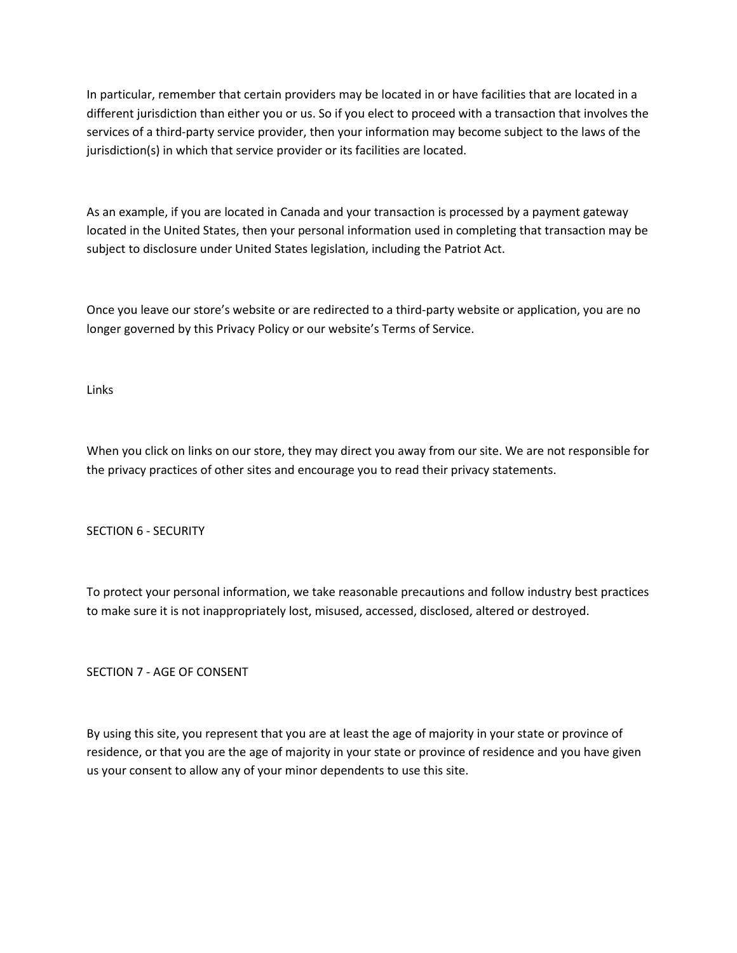In particular, remember that certain providers may be located in or have facilities that are located in a different jurisdiction than either you or us. So if you elect to proceed with a transaction that involves the services of a third-party service provider, then your information may become subject to the laws of the jurisdiction(s) in which that service provider or its facilities are located.

As an example, if you are located in Canada and your transaction is processed by a payment gateway located in the United States, then your personal information used in completing that transaction may be subject to disclosure under United States legislation, including the Patriot Act.

Once you leave our store's website or are redirected to a third-party website or application, you are no longer governed by this Privacy Policy or our website's Terms of Service.

Links

When you click on links on our store, they may direct you away from our site. We are not responsible for the privacy practices of other sites and encourage you to read their privacy statements.

SECTION 6 - SECURITY

To protect your personal information, we take reasonable precautions and follow industry best practices to make sure it is not inappropriately lost, misused, accessed, disclosed, altered or destroyed.

SECTION 7 - AGE OF CONSENT

By using this site, you represent that you are at least the age of majority in your state or province of residence, or that you are the age of majority in your state or province of residence and you have given us your consent to allow any of your minor dependents to use this site.